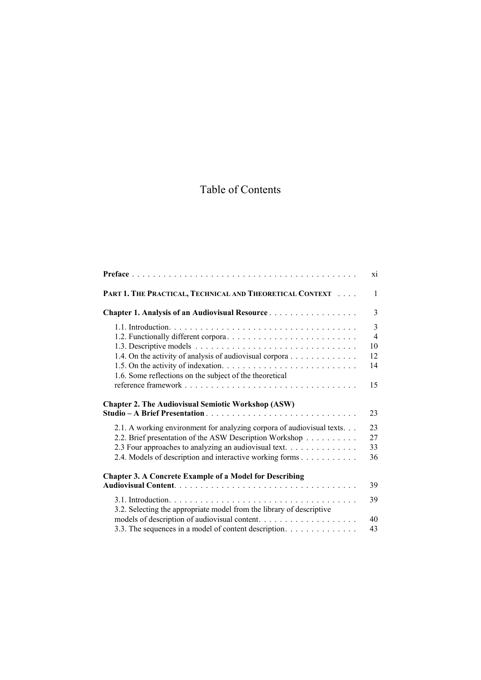## Table of Contents

|                                                                        | X1                  |
|------------------------------------------------------------------------|---------------------|
| PART 1. THE PRACTICAL, TECHNICAL AND THEORETICAL CONTEXT               | $\mathbf{1}$        |
| <b>Chapter 1. Analysis of an Audiovisual Resource</b>                  | 3                   |
|                                                                        | 3<br>$\overline{4}$ |
|                                                                        | 10                  |
| 1.4. On the activity of analysis of audiovisual corpora                | 12                  |
| 1.6. Some reflections on the subject of the theoretical                | 14                  |
|                                                                        | 15                  |
| <b>Chapter 2. The Audiovisual Semiotic Workshop (ASW)</b>              | 23                  |
| 2.1. A working environment for analyzing corpora of audiovisual texts. | 23                  |
| 2.2. Brief presentation of the ASW Description Workshop                | 27                  |
| 2.3 Four approaches to analyzing an audiovisual text.                  | 33                  |
| 2.4. Models of description and interactive working forms               | 36                  |
| <b>Chapter 3. A Concrete Example of a Model for Describing</b>         |                     |
|                                                                        | 39                  |
| 3.2. Selecting the appropriate model from the library of descriptive   | 39                  |
|                                                                        | 40                  |
| 3.3. The sequences in a model of content description.                  | 43                  |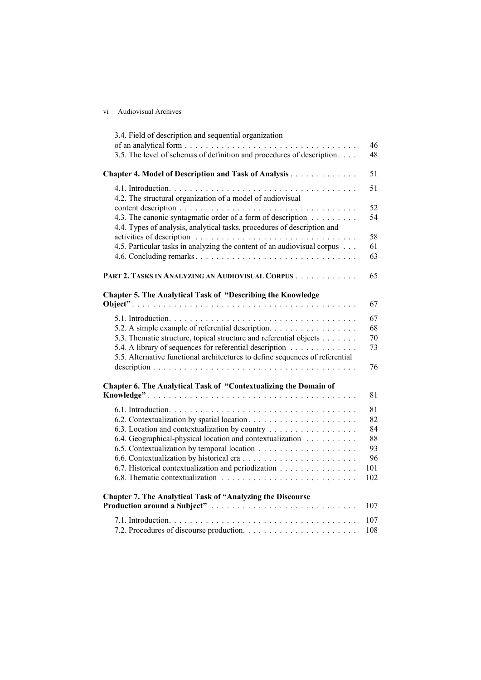|    | <b>Audiovisual Archives</b> |  |
|----|-----------------------------|--|
| V1 |                             |  |
|    |                             |  |
|    |                             |  |

| 3.4. Field of description and sequential organization                                                                                                                                                                                                              | 46                                             |
|--------------------------------------------------------------------------------------------------------------------------------------------------------------------------------------------------------------------------------------------------------------------|------------------------------------------------|
| 3.5. The level of schemas of definition and procedures of description                                                                                                                                                                                              | 48                                             |
| Chapter 4. Model of Description and Task of Analysis                                                                                                                                                                                                               | 51                                             |
| 4.2. The structural organization of a model of audiovisual<br>4.3. The canonic syntagmatic order of a form of description<br>4.4. Types of analysis, analytical tasks, procedures of description and                                                               | 51<br>52<br>54                                 |
| 4.5. Particular tasks in analyzing the content of an audiovisual corpus                                                                                                                                                                                            | 58<br>61<br>63                                 |
| PART 2. TASKS IN ANALYZING AN AUDIOVISUAL CORPUS                                                                                                                                                                                                                   | 65                                             |
| <b>Chapter 5. The Analytical Task of "Describing the Knowledge</b>                                                                                                                                                                                                 | 67                                             |
| 5.2. A simple example of referential description.<br>5.3. Thematic structure, topical structure and referential objects<br>5.4. A library of sequences for referential description<br>5.5. Alternative functional architectures to define sequences of referential | 67<br>68<br>70<br>73<br>76                     |
| Chapter 6. The Analytical Task of "Contextualizing the Domain of                                                                                                                                                                                                   | 81                                             |
| 6.3. Location and contextualization by country<br>6.4. Geographical-physical location and contextualization<br>6.7. Historical contextualization and periodization                                                                                                 | 81<br>82<br>84<br>88<br>93<br>96<br>101<br>102 |
| <b>Chapter 7. The Analytical Task of "Analyzing the Discourse</b><br>Production around a Subject"                                                                                                                                                                  | 107                                            |
|                                                                                                                                                                                                                                                                    | 107<br>108                                     |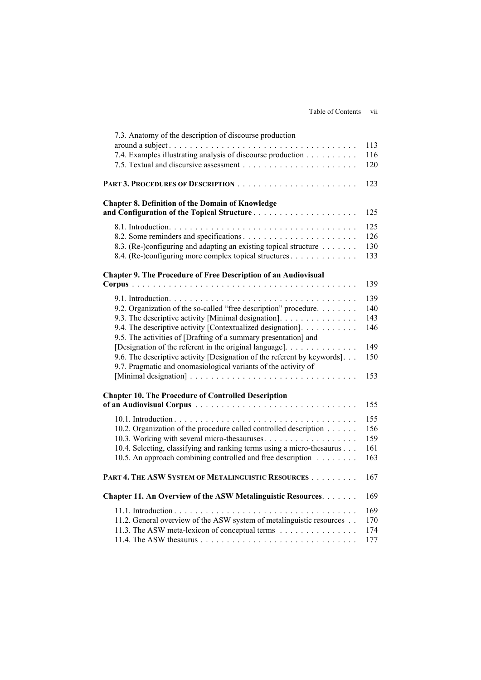| 7.3. Anatomy of the description of discourse production                  |     |
|--------------------------------------------------------------------------|-----|
|                                                                          | 113 |
| 7.4. Examples illustrating analysis of discourse production              | 116 |
|                                                                          | 120 |
|                                                                          | 123 |
| <b>Chapter 8. Definition of the Domain of Knowledge</b>                  |     |
| and Configuration of the Topical Structure                               | 125 |
|                                                                          | 125 |
|                                                                          | 126 |
| 8.3. (Re-)configuring and adapting an existing topical structure         | 130 |
| 8.4. (Re-)configuring more complex topical structures                    | 133 |
| <b>Chapter 9. The Procedure of Free Description of an Audiovisual</b>    |     |
|                                                                          | 139 |
|                                                                          | 139 |
| 9.2. Organization of the so-called "free description" procedure.         | 140 |
| 9.3. The descriptive activity [Minimal designation].                     | 143 |
| 9.4. The descriptive activity [Contextualized designation].              | 146 |
| 9.5. The activities of [Drafting of a summary presentation] and          |     |
|                                                                          | 149 |
| 9.6. The descriptive activity [Designation of the referent by keywords]. | 150 |
| 9.7. Pragmatic and onomasiological variants of the activity of           |     |
|                                                                          | 153 |
| <b>Chapter 10. The Procedure of Controlled Description</b>               |     |
|                                                                          | 155 |
|                                                                          | 155 |
| 10.2. Organization of the procedure called controlled description        | 156 |
|                                                                          | 159 |
| 10.4. Selecting, classifying and ranking terms using a micro-thesaurus   | 161 |
| 10.5. An approach combining controlled and free description              | 163 |
| PART 4. THE ASW SYSTEM OF METALINGUISTIC RESOURCES                       | 167 |
| Chapter 11. An Overview of the ASW Metalinguistic Resources.             | 169 |
|                                                                          | 169 |
| 11.2. General overview of the ASW system of metalinguistic resources     | 170 |
| 11.3. The ASW meta-lexicon of conceptual terms                           | 174 |
|                                                                          | 177 |
|                                                                          |     |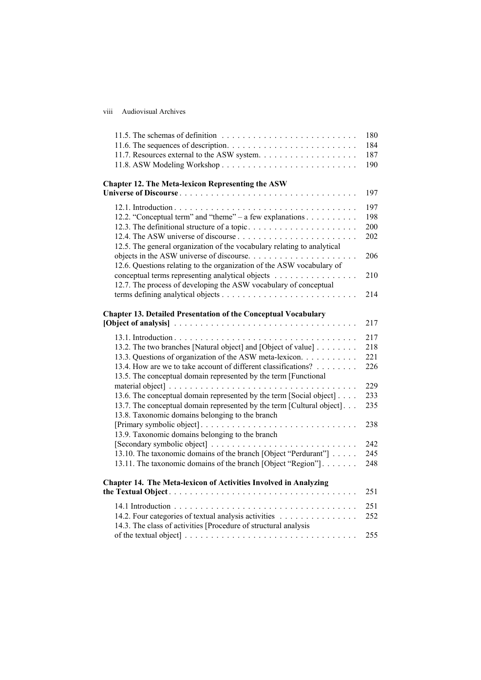viii Audiovisual Archives

|                                                                         | 180 |
|-------------------------------------------------------------------------|-----|
|                                                                         | 184 |
|                                                                         | 187 |
|                                                                         | 190 |
|                                                                         |     |
| <b>Chapter 12. The Meta-lexicon Representing the ASW</b>                | 197 |
|                                                                         |     |
|                                                                         | 197 |
| 12.2. "Conceptual term" and "theme" – a few explanations                | 198 |
|                                                                         | 200 |
|                                                                         | 202 |
| 12.5. The general organization of the vocabulary relating to analytical |     |
|                                                                         | 206 |
| 12.6. Questions relating to the organization of the ASW vocabulary of   |     |
| conceptual terms representing analytical objects                        | 210 |
| 12.7. The process of developing the ASW vocabulary of conceptual        |     |
|                                                                         | 214 |
|                                                                         |     |
| <b>Chapter 13. Detailed Presentation of the Conceptual Vocabulary</b>   | 217 |
|                                                                         |     |
|                                                                         | 217 |
| 13.2. The two branches [Natural object] and [Object of value]           | 218 |
| 13.3. Questions of organization of the ASW meta-lexicon.                | 221 |
| 13.4. How are we to take account of different classifications?          | 226 |
| 13.5. The conceptual domain represented by the term [Functional         |     |
|                                                                         | 229 |
| 13.6. The conceptual domain represented by the term [Social object]     | 233 |
| 13.7. The conceptual domain represented by the term [Cultural object].  | 235 |
| 13.8. Taxonomic domains belonging to the branch                         |     |
|                                                                         | 238 |
| 13.9. Taxonomic domains belonging to the branch                         |     |
|                                                                         | 242 |
| 13.10. The taxonomic domains of the branch [Object "Perdurant"]         | 245 |
| 13.11. The taxonomic domains of the branch [Object "Region"].           | 248 |
| Chapter 14. The Meta-lexicon of Activities Involved in Analyzing        |     |
|                                                                         | 251 |
|                                                                         |     |
|                                                                         | 251 |
| 14.2. Four categories of textual analysis activities                    | 252 |
| 14.3. The class of activities [Procedure of structural analysis         |     |
|                                                                         | 255 |